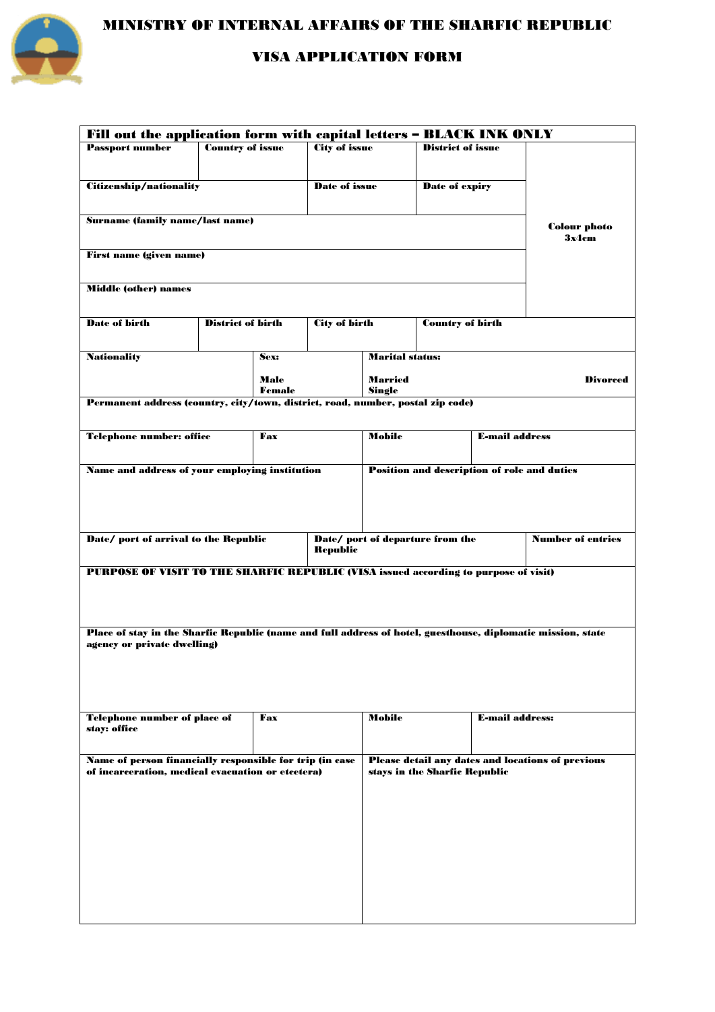

MINISTRY OF INTERNAL AFFAIRS OF THE SHARFIC REPUBLIC

### VISA APPLICATION FORM

| Fill out the application form with capital letters - BLACK INK ONLY                                          |                          |                               |                      |                        |                                                          |                                                    |                          |  |  |  |
|--------------------------------------------------------------------------------------------------------------|--------------------------|-------------------------------|----------------------|------------------------|----------------------------------------------------------|----------------------------------------------------|--------------------------|--|--|--|
| <b>Passport number</b>                                                                                       | <b>Country of issue</b>  |                               | <b>City of issue</b> |                        | <b>District of issue</b>                                 |                                                    |                          |  |  |  |
|                                                                                                              |                          |                               |                      |                        |                                                          |                                                    |                          |  |  |  |
| <b>Citizenship/nationality</b>                                                                               |                          |                               | Date of issue        |                        |                                                          |                                                    |                          |  |  |  |
|                                                                                                              |                          |                               |                      |                        | <b>Date of expiry</b>                                    |                                                    |                          |  |  |  |
|                                                                                                              |                          |                               |                      |                        |                                                          |                                                    |                          |  |  |  |
| <b>Surname (family name/last name)</b>                                                                       |                          | <b>Colour photo</b>           |                      |                        |                                                          |                                                    |                          |  |  |  |
|                                                                                                              |                          |                               |                      |                        |                                                          |                                                    | 3x4cm                    |  |  |  |
| <b>First name (given name)</b>                                                                               |                          |                               |                      |                        |                                                          |                                                    |                          |  |  |  |
|                                                                                                              |                          |                               |                      |                        |                                                          |                                                    |                          |  |  |  |
|                                                                                                              |                          |                               |                      |                        |                                                          |                                                    |                          |  |  |  |
| <b>Middle (other) names</b>                                                                                  |                          |                               |                      |                        |                                                          |                                                    |                          |  |  |  |
|                                                                                                              |                          |                               |                      |                        |                                                          |                                                    |                          |  |  |  |
| Date of birth                                                                                                | <b>District of birth</b> |                               | <b>City of birth</b> |                        | <b>Country of birth</b>                                  |                                                    |                          |  |  |  |
|                                                                                                              |                          |                               |                      |                        |                                                          |                                                    |                          |  |  |  |
| <b>Nationality</b>                                                                                           |                          | Sex:                          |                      | <b>Marital status:</b> |                                                          |                                                    |                          |  |  |  |
|                                                                                                              |                          |                               |                      |                        |                                                          |                                                    |                          |  |  |  |
|                                                                                                              |                          | Male                          |                      | <b>Married</b>         |                                                          | <b>Divorced</b>                                    |                          |  |  |  |
| Permanent address (country, city/town, district, road, number, postal zip code)                              |                          | Female                        |                      | Single                 |                                                          |                                                    |                          |  |  |  |
|                                                                                                              |                          |                               |                      |                        |                                                          |                                                    |                          |  |  |  |
|                                                                                                              |                          |                               |                      | <b>Mobile</b>          |                                                          |                                                    |                          |  |  |  |
| <b>Telephone number: office</b>                                                                              |                          |                               | Fax                  |                        |                                                          | <b>E-mail address</b>                              |                          |  |  |  |
|                                                                                                              |                          |                               |                      |                        |                                                          |                                                    |                          |  |  |  |
| Name and address of your employing institution                                                               |                          |                               |                      |                        |                                                          | <b>Position and description of role and duties</b> |                          |  |  |  |
|                                                                                                              |                          |                               |                      |                        |                                                          |                                                    |                          |  |  |  |
|                                                                                                              |                          |                               |                      |                        |                                                          |                                                    |                          |  |  |  |
|                                                                                                              |                          |                               |                      |                        |                                                          |                                                    |                          |  |  |  |
|                                                                                                              |                          |                               |                      |                        |                                                          |                                                    |                          |  |  |  |
| Date/ port of arrival to the Republic                                                                        |                          |                               | <b>Republic</b>      |                        | Date/ port of departure from the                         |                                                    | <b>Number of entries</b> |  |  |  |
|                                                                                                              |                          |                               |                      |                        |                                                          |                                                    |                          |  |  |  |
| PURPOSE OF VISIT TO THE SHARFIC REPUBLIC (VISA issued according to purpose of visit)                         |                          |                               |                      |                        |                                                          |                                                    |                          |  |  |  |
|                                                                                                              |                          |                               |                      |                        |                                                          |                                                    |                          |  |  |  |
|                                                                                                              |                          |                               |                      |                        |                                                          |                                                    |                          |  |  |  |
|                                                                                                              |                          |                               |                      |                        |                                                          |                                                    |                          |  |  |  |
| Place of stay in the Sharfic Republic (name and full address of hotel, guesthouse, diplomatic mission, state |                          |                               |                      |                        |                                                          |                                                    |                          |  |  |  |
| agency or private dwelling)                                                                                  |                          |                               |                      |                        |                                                          |                                                    |                          |  |  |  |
|                                                                                                              |                          |                               |                      |                        |                                                          |                                                    |                          |  |  |  |
|                                                                                                              |                          |                               |                      |                        |                                                          |                                                    |                          |  |  |  |
|                                                                                                              |                          |                               |                      |                        |                                                          |                                                    |                          |  |  |  |
|                                                                                                              |                          |                               |                      |                        |                                                          |                                                    |                          |  |  |  |
| Telephone number of place of                                                                                 |                          |                               | Fax                  |                        | Mobile                                                   |                                                    | <b>E-mail address:</b>   |  |  |  |
| stay: office                                                                                                 |                          |                               |                      |                        |                                                          |                                                    |                          |  |  |  |
|                                                                                                              |                          |                               |                      |                        |                                                          |                                                    |                          |  |  |  |
| Name of person financially responsible for trip (in case                                                     |                          |                               |                      |                        | <b>Please detail any dates and locations of previous</b> |                                                    |                          |  |  |  |
| of incarceration, medical evacuation or etcetera)                                                            |                          | stays in the Sharfic Republic |                      |                        |                                                          |                                                    |                          |  |  |  |
|                                                                                                              |                          |                               |                      |                        |                                                          |                                                    |                          |  |  |  |
|                                                                                                              |                          |                               |                      |                        |                                                          |                                                    |                          |  |  |  |
|                                                                                                              |                          |                               |                      |                        |                                                          |                                                    |                          |  |  |  |
|                                                                                                              |                          |                               |                      |                        |                                                          |                                                    |                          |  |  |  |
|                                                                                                              |                          |                               |                      |                        |                                                          |                                                    |                          |  |  |  |
|                                                                                                              |                          |                               |                      |                        |                                                          |                                                    |                          |  |  |  |
|                                                                                                              |                          |                               |                      |                        |                                                          |                                                    |                          |  |  |  |
|                                                                                                              |                          |                               |                      |                        |                                                          |                                                    |                          |  |  |  |
|                                                                                                              |                          |                               |                      |                        |                                                          |                                                    |                          |  |  |  |
|                                                                                                              |                          |                               |                      |                        |                                                          |                                                    |                          |  |  |  |
|                                                                                                              |                          |                               |                      |                        |                                                          |                                                    |                          |  |  |  |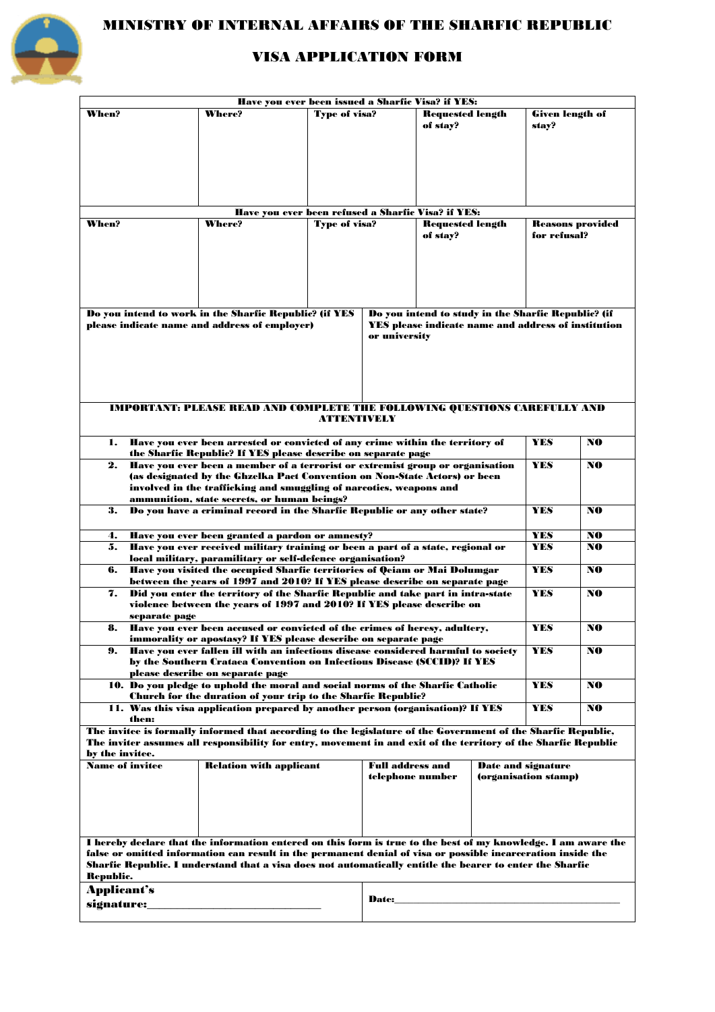

# MINISTRY OF INTERNAL AFFAIRS OF THE SHARFIC REPUBLIC

## VISA APPLICATION FORM

| Have you ever been issued a Sharfic Visa? if YES:                                                                                                                                                                         |                                                                                                                                                |                      |                                                            |                                     |                         |                           |     |  |  |  |  |  |
|---------------------------------------------------------------------------------------------------------------------------------------------------------------------------------------------------------------------------|------------------------------------------------------------------------------------------------------------------------------------------------|----------------------|------------------------------------------------------------|-------------------------------------|-------------------------|---------------------------|-----|--|--|--|--|--|
| When?                                                                                                                                                                                                                     | <b>Where?</b>                                                                                                                                  | <b>Type of visa?</b> |                                                            | <b>Requested length</b><br>of stay? |                         | Given length of<br>stay?  |     |  |  |  |  |  |
|                                                                                                                                                                                                                           |                                                                                                                                                |                      |                                                            |                                     |                         |                           |     |  |  |  |  |  |
|                                                                                                                                                                                                                           |                                                                                                                                                |                      |                                                            |                                     |                         |                           |     |  |  |  |  |  |
|                                                                                                                                                                                                                           |                                                                                                                                                |                      |                                                            |                                     |                         |                           |     |  |  |  |  |  |
|                                                                                                                                                                                                                           | Have you ever been refused a Sharfic Visa? if YES:                                                                                             |                      |                                                            |                                     |                         |                           |     |  |  |  |  |  |
| When?                                                                                                                                                                                                                     | <b>Where?</b>                                                                                                                                  | <b>Type of visa?</b> |                                                            |                                     | <b>Requested length</b> |                           |     |  |  |  |  |  |
|                                                                                                                                                                                                                           |                                                                                                                                                |                      |                                                            | of stay?                            |                         | for refusal?              |     |  |  |  |  |  |
|                                                                                                                                                                                                                           |                                                                                                                                                |                      |                                                            |                                     |                         |                           |     |  |  |  |  |  |
|                                                                                                                                                                                                                           |                                                                                                                                                |                      |                                                            |                                     |                         |                           |     |  |  |  |  |  |
|                                                                                                                                                                                                                           |                                                                                                                                                |                      |                                                            |                                     |                         |                           |     |  |  |  |  |  |
|                                                                                                                                                                                                                           |                                                                                                                                                |                      |                                                            |                                     |                         |                           |     |  |  |  |  |  |
| Do you intend to work in the Sharfic Republic? (if YES<br>Do you intend to study in the Sharfic Republic? (if                                                                                                             |                                                                                                                                                |                      |                                                            |                                     |                         |                           |     |  |  |  |  |  |
| please indicate name and address of employer)                                                                                                                                                                             |                                                                                                                                                |                      | <b>YES</b> please indicate name and address of institution |                                     |                         |                           |     |  |  |  |  |  |
|                                                                                                                                                                                                                           |                                                                                                                                                |                      | or university                                              |                                     |                         |                           |     |  |  |  |  |  |
|                                                                                                                                                                                                                           |                                                                                                                                                |                      |                                                            |                                     |                         |                           |     |  |  |  |  |  |
|                                                                                                                                                                                                                           |                                                                                                                                                |                      |                                                            |                                     |                         |                           |     |  |  |  |  |  |
|                                                                                                                                                                                                                           |                                                                                                                                                |                      |                                                            |                                     |                         |                           |     |  |  |  |  |  |
| <b>IMPORTANT: PLEASE READ AND COMPLETE THE FOLLOWING QUESTIONS CAREFULLY AND</b>                                                                                                                                          |                                                                                                                                                |                      |                                                            |                                     |                         |                           |     |  |  |  |  |  |
|                                                                                                                                                                                                                           |                                                                                                                                                | <b>ATTENTIVELY</b>   |                                                            |                                     |                         |                           |     |  |  |  |  |  |
|                                                                                                                                                                                                                           |                                                                                                                                                |                      |                                                            |                                     |                         |                           |     |  |  |  |  |  |
| Have you ever been arrested or convicted of any crime within the territory of<br>1.                                                                                                                                       |                                                                                                                                                | <b>YES</b>           | NO                                                         |                                     |                         |                           |     |  |  |  |  |  |
| 2.                                                                                                                                                                                                                        | the Sharfic Republic? If YES please describe on separate page<br>Have you ever been a member of a terrorist or extremist group or organisation |                      |                                                            |                                     |                         | <b>YES</b>                | NO  |  |  |  |  |  |
|                                                                                                                                                                                                                           | (as designated by the Ghzelka Pact Convention on Non-State Actors) or been                                                                     |                      |                                                            |                                     |                         |                           |     |  |  |  |  |  |
|                                                                                                                                                                                                                           | involved in the trafficking and smuggling of narcotics, weapons and                                                                            |                      |                                                            |                                     |                         |                           |     |  |  |  |  |  |
| ammunition, state secrets, or human beings?<br>Do you have a criminal record in the Sharfic Republic or any other state?<br>3.                                                                                            |                                                                                                                                                | <b>YES</b>           | NO                                                         |                                     |                         |                           |     |  |  |  |  |  |
|                                                                                                                                                                                                                           |                                                                                                                                                |                      |                                                            |                                     |                         |                           |     |  |  |  |  |  |
| Have you ever been granted a pardon or amnesty?<br>4.                                                                                                                                                                     | <b>YES</b>                                                                                                                                     | NO                   |                                                            |                                     |                         |                           |     |  |  |  |  |  |
| Have you ever received military training or been a part of a state, regional or<br>5.                                                                                                                                     | <b>YES</b>                                                                                                                                     | NO                   |                                                            |                                     |                         |                           |     |  |  |  |  |  |
| local military, paramilitary or self-defence organisation?<br>Have you visited the occupied Sharfic territories of Qeiam or Mai Dolumgar<br>6.                                                                            |                                                                                                                                                | <b>YES</b>           | NO                                                         |                                     |                         |                           |     |  |  |  |  |  |
| between the years of 1997 and 2010? If YES please describe on separate page                                                                                                                                               |                                                                                                                                                |                      |                                                            |                                     |                         |                           |     |  |  |  |  |  |
| Did you enter the territory of the Sharfic Republic and take part in intra-state<br>7.                                                                                                                                    |                                                                                                                                                | <b>YES</b>           | NO                                                         |                                     |                         |                           |     |  |  |  |  |  |
|                                                                                                                                                                                                                           | violence between the years of 1997 and 2010? If YES please describe on                                                                         |                      |                                                            |                                     |                         |                           |     |  |  |  |  |  |
| separate page<br>Have you ever been accused or convicted of the crimes of heresy, adultery,<br>8.                                                                                                                         |                                                                                                                                                | <b>YES</b>           | NO.                                                        |                                     |                         |                           |     |  |  |  |  |  |
| immorality or apostasy? If YES please describe on separate page                                                                                                                                                           |                                                                                                                                                |                      |                                                            |                                     |                         |                           |     |  |  |  |  |  |
| Have you ever fallen ill with an infectious disease considered harmful to society<br>9.                                                                                                                                   |                                                                                                                                                | <b>YES</b>           | NO                                                         |                                     |                         |                           |     |  |  |  |  |  |
|                                                                                                                                                                                                                           | by the Southern Crataea Convention on Infectious Disease (SCCID)? If YES                                                                       |                      |                                                            |                                     |                         |                           |     |  |  |  |  |  |
|                                                                                                                                                                                                                           | please describe on separate page<br>10. Do you pledge to uphold the moral and social norms of the Sharfic Catholic<br><b>YES</b><br>NO         |                      |                                                            |                                     |                         |                           |     |  |  |  |  |  |
| <b>Church for the duration of your trip to the Sharfic Republic?</b>                                                                                                                                                      |                                                                                                                                                |                      |                                                            |                                     |                         |                           |     |  |  |  |  |  |
| then:                                                                                                                                                                                                                     | 11. Was this visa application prepared by another person (organisation)? If YES                                                                |                      |                                                            |                                     |                         | <b>YES</b>                | NO. |  |  |  |  |  |
| The invitee is formally informed that according to the legislature of the Government of the Sharfic Republic,                                                                                                             |                                                                                                                                                |                      |                                                            |                                     |                         |                           |     |  |  |  |  |  |
| The inviter assumes all responsibility for entry, movement in and exit of the territory of the Sharfic Republic                                                                                                           |                                                                                                                                                |                      |                                                            |                                     |                         |                           |     |  |  |  |  |  |
| by the invitee.<br><b>Name of invitee</b>                                                                                                                                                                                 |                                                                                                                                                |                      | <b>Full address and</b>                                    |                                     |                         | <b>Date and signature</b> |     |  |  |  |  |  |
|                                                                                                                                                                                                                           | <b>Relation with applicant</b>                                                                                                                 |                      | telephone number                                           |                                     |                         | (organisation stamp)      |     |  |  |  |  |  |
|                                                                                                                                                                                                                           |                                                                                                                                                |                      |                                                            |                                     |                         |                           |     |  |  |  |  |  |
|                                                                                                                                                                                                                           |                                                                                                                                                |                      |                                                            |                                     |                         |                           |     |  |  |  |  |  |
|                                                                                                                                                                                                                           |                                                                                                                                                |                      |                                                            |                                     |                         |                           |     |  |  |  |  |  |
|                                                                                                                                                                                                                           |                                                                                                                                                |                      |                                                            |                                     |                         |                           |     |  |  |  |  |  |
| I hereby declare that the information entered on this form is true to the best of my knowledge. I am aware the                                                                                                            |                                                                                                                                                |                      |                                                            |                                     |                         |                           |     |  |  |  |  |  |
| false or omitted information can result in the permanent denial of visa or possible incarceration inside the<br>Sharfic Republic. I understand that a visa does not automatically entitle the bearer to enter the Sharfic |                                                                                                                                                |                      |                                                            |                                     |                         |                           |     |  |  |  |  |  |
| Republic.                                                                                                                                                                                                                 |                                                                                                                                                |                      |                                                            |                                     |                         |                           |     |  |  |  |  |  |
| <b>Applicant's</b>                                                                                                                                                                                                        |                                                                                                                                                |                      |                                                            |                                     |                         |                           |     |  |  |  |  |  |
| signature:                                                                                                                                                                                                                | Date:                                                                                                                                          |                      |                                                            |                                     |                         |                           |     |  |  |  |  |  |